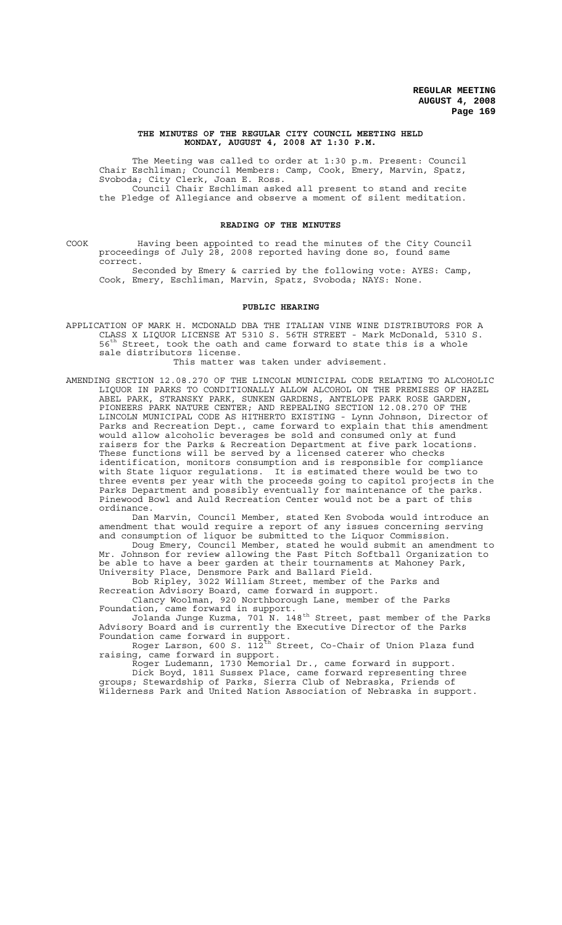### **THE MINUTES OF THE REGULAR CITY COUNCIL MEETING HELD MONDAY, AUGUST 4, 2008 AT 1:30 P.M.**

The Meeting was called to order at 1:30 p.m. Present: Council Chair Eschliman; Council Members: Camp, Cook, Emery, Marvin, Spatz, Svoboda; City Clerk, Joan E. Ross. Council Chair Eschliman asked all present to stand and recite

the Pledge of Allegiance and observe a moment of silent meditation.

### **READING OF THE MINUTES**

COOK Having been appointed to read the minutes of the City Council proceedings of July 28, 2008 reported having done so, found same correct.

Seconded by Emery & carried by the following vote: AYES: Camp, Cook, Emery, Eschliman, Marvin, Spatz, Svoboda; NAYS: None.

### **PUBLIC HEARING**

APPLICATION OF MARK H. MCDONALD DBA THE ITALIAN VINE WINE DISTRIBUTORS FOR A CLASS X LIQUOR LICENSE AT 5310 S. 56TH STREET - Mark McDonald, 5310 S.<br>56<sup>th</sup> Street, took the oath and came forward to state this is a whole Street, took the oath and came forward to state this is a whole sale distributors license.

This matter was taken under advisement.

AMENDING SECTION 12.08.270 OF THE LINCOLN MUNICIPAL CODE RELATING TO ALCOHOLIC LIQUOR IN PARKS TO CONDITIONALLY ALLOW ALCOHOL ON THE PREMISES OF HAZEL ABEL PARK, STRANSKY PARK, SUNKEN GARDENS, ANTELOPE PARK ROSE GARDEN, PIONEERS PARK NATURE CENTER; AND REPEALING SECTION 12.08.270 OF THE LINCOLN MUNICIPAL CODE AS HITHERTO EXISTING - Lynn Johnson, Director of Parks and Recreation Dept., came forward to explain that this amendment would allow alcoholic beverages be sold and consumed only at fund raisers for the Parks & Recreation Department at five park locations. These functions will be served by a licensed caterer who checks identification, monitors consumption and is responsible for compliance with State liquor regulations. It is estimated there would be two to three events per year with the proceeds going to capitol projects in the Parks Department and possibly eventually for maintenance of the parks. Pinewood Bowl and Auld Recreation Center would not be a part of this ordinance.

Dan Marvin, Council Member, stated Ken Svoboda would introduce an amendment that would require a report of any issues concerning serving and consumption of liquor be submitted to the Liquor Commission.

Doug Emery, Council Member, stated he would submit an amendment to Mr. Johnson for review allowing the Fast Pitch Softball Organization to be able to have a beer garden at their tournaments at Mahoney Park, University Place, Densmore Park and Ballard Field.

Bob Ripley, 3022 William Street, member of the Parks and Recreation Advisory Board, came forward in support.

Clancy Woolman, 920 Northborough Lane, member of the Parks Foundation, came forward in support.

Jolanda Junge Kuzma, 701  $\stackrel{\text{\sf{h}}}{\text{\sf{N}}}$ . 148<sup>th</sup> Street, past member of the Parks Advisory Board and is currently the Executive Director of the Parks

Foundation came forward in support.<br>Roger Larson, 600 S. 112<sup>th</sup> St: Street, Co-Chair of Union Plaza fund raising, came forward in support.

Roger Ludemann, 1730 Memorial Dr., came forward in support. Dick Boyd, 1811 Sussex Place, came forward representing three groups; Stewardship of Parks, Sierra Club of Nebraska, Friends of Wilderness Park and United Nation Association of Nebraska in support.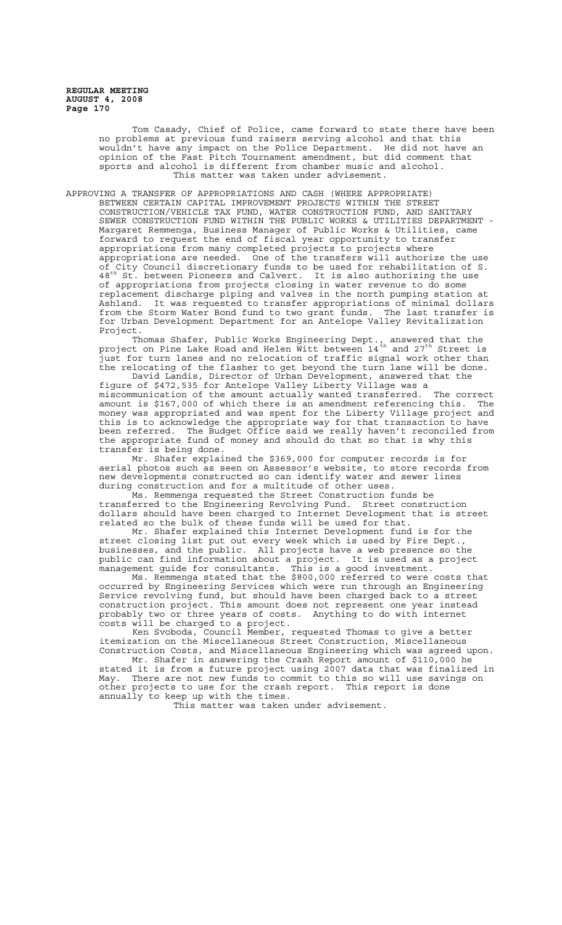> Tom Casady, Chief of Police, came forward to state there have been no problems at previous fund raisers serving alcohol and that this wouldn't have any impact on the Police Department. He did not have an opinion of the Fast Pitch Tournament amendment, but did comment that sports and alcohol is different from chamber music and alcohol. This matter was taken under advisement.

APPROVING A TRANSFER OF APPROPRIATIONS AND CASH (WHERE APPROPRIATE) BETWEEN CERTAIN CAPITAL IMPROVEMENT PROJECTS WITHIN THE STREET CONSTRUCTION/VEHICLE TAX FUND, WATER CONSTRUCTION FUND, AND SANITARY SEWER CONSTRUCTION FUND WITHIN THE PUBLIC WORKS & UTILITIES DEPARTMENT - Margaret Remmenga, Business Manager of Public Works & Utilities, came forward to request the end of fiscal year opportunity to transfer appropriations from many completed projects to projects where appropriations are needed. One of the transfers will authorize the use of City Council discretionary funds to be used for rehabilitation of S. 48<sup>th</sup> St. between Pioneers and Calvert. It is also authorizing the use of appropriations from projects closing in water revenue to do some replacement discharge piping and valves in the north pumping station at Ashland. It was requested to transfer appropriations of minimal dollars from the Storm Water Bond fund to two grant funds. The last transfer is for Urban Development Department for an Antelope Valley Revitalization Project.

Thomas Shafer, Public Works Engineering Dept., answered that the project on Pine Lake Road and Helen  $\breve{\bm{\mathsf{W}}}$ itt between  $14^\mathrm{th}$  and 27 $^\mathrm{th}$  Street is just for turn lanes and no relocation of traffic signal work other than the relocating of the flasher to get beyond the turn lane will be done.

David Landis, Director of Urban Development, answered that the figure of \$472,535 for Antelope Valley Liberty Village was a miscommunication of the amount actually wanted transferred. The correct amount is \$167,000 of which there is an amendment referencing this. The money was appropriated and was spent for the Liberty Village project and this is to acknowledge the appropriate way for that transaction to have been referred. The Budget Office said we really haven't reconciled from the appropriate fund of money and should do that so that is why this transfer is being done.

Mr. Shafer explained the \$369,000 for computer records is for aerial photos such as seen on Assessor's website, to store records from new developments constructed so can identify water and sewer lines during construction and for a multitude of other uses.

Ms. Remmenga requested the Street Construction funds be transferred to the Engineering Revolving Fund. Street construction dollars should have been charged to Internet Development that is street related so the bulk of these funds will be used for that.

Mr. Shafer explained this Internet Development fund is for the street closing list put out every week which is used by Fire Dept., businesses, and the public. All projects have a web presence so the public can find information about a project. It is used as a project management guide for consultants. This is a good investment.

Ms. Remmenga stated that the \$800,000 referred to were costs that occurred by Engineering Services which were run through an Engineering Service revolving fund, but should have been charged back to a street construction project. This amount does not represent one year instead probably two or three years of costs. Anything to do with internet costs will be charged to a project.

Ken Svoboda, Council Member, requested Thomas to give a better itemization on the Miscellaneous Street Construction, Miscellaneous Construction Costs, and Miscellaneous Engineering which was agreed upon.

Mr. Shafer in answering the Crash Report amount of \$110,000 he stated it is from a future project using 2007 data that was finalized in May. There are not new funds to commit to this so will use savings on other projects to use for the crash report. This report is done annually to keep up with the times.

This matter was taken under advisement.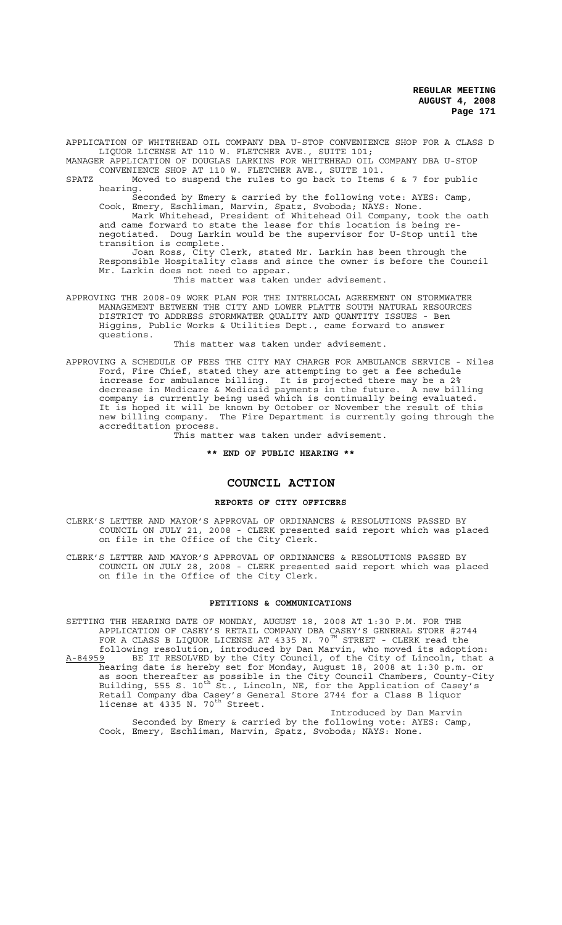APPLICATION OF WHITEHEAD OIL COMPANY DBA U-STOP CONVENIENCE SHOP FOR A CLASS D LIQUOR LICENSE AT 110 W. FLETCHER AVE., SUITE 101;

MANAGER APPLICATION OF DOUGLAS LARKINS FOR WHITEHEAD OIL COMPANY DBA U-STOP CONVENIENCE SHOP AT 110 W. FLETCHER AVE., SUITE 101.

SPATZ Moved to suspend the rules to go back to Items 6 & 7 for public hearing.

Seconded by Emery & carried by the following vote: AYES: Camp, Cook, Emery, Eschliman, Marvin, Spatz, Svoboda; NAYS: None.

Mark Whitehead, President of Whitehead Oil Company, took the oath and came forward to state the lease for this location is being renegotiated. Doug Larkin would be the supervisor for U-Stop until the transition is complete.

Joan Ross, City Clerk, stated Mr. Larkin has been through the Responsible Hospitality class and since the owner is before the Council Mr. Larkin does not need to appear.

This matter was taken under advisement.

APPROVING THE 2008-09 WORK PLAN FOR THE INTERLOCAL AGREEMENT ON STORMWATER MANAGEMENT BETWEEN THE CITY AND LOWER PLATTE SOUTH NATURAL RESOURCES DISTRICT TO ADDRESS STORMWATER QUALITY AND QUANTITY ISSUES - Ben Higgins, Public Works & Utilities Dept., came forward to answer questions.

This matter was taken under advisement.

APPROVING A SCHEDULE OF FEES THE CITY MAY CHARGE FOR AMBULANCE SERVICE - Niles Ford, Fire Chief, stated they are attempting to get a fee schedule increase for ambulance billing. It is projected there may be a 2% decrease in Medicare & Medicaid payments in the future. A new billing company is currently being used which is continually being evaluated. It is hoped it will be known by October or November the result of this new billing company. The Fire Department is currently going through the accreditation process.

This matter was taken under advisement.

**\*\* END OF PUBLIC HEARING \*\***

## **COUNCIL ACTION**

### **REPORTS OF CITY OFFICERS**

CLERK'S LETTER AND MAYOR'S APPROVAL OF ORDINANCES & RESOLUTIONS PASSED BY COUNCIL ON JULY 21, 2008 - CLERK presented said report which was placed on file in the Office of the City Clerk.

CLERK'S LETTER AND MAYOR'S APPROVAL OF ORDINANCES & RESOLUTIONS PASSED BY COUNCIL ON JULY 28, 2008 - CLERK presented said report which was placed on file in the Office of the City Clerk.

### **PETITIONS & COMMUNICATIONS**

SETTING THE HEARING DATE OF MONDAY, AUGUST 18, 2008 AT 1:30 P.M. FOR THE APPLICATION OF CASEY'S RETAIL COMPANY DBA CASEY'S GENERAL STORE #2744 FOR A CLASS B LIQUOR LICENSE AT 4335 N. 70 $^{\texttt{TH}}$  STREET - CLERK read the following resolution, introduced by Dan Marvin, who moved its adoption: A-84959 BE IT RESOLVED by the City Council, of the City of Lincoln, that a hearing date is hereby set for Monday, August 18, 2008 at 1:30 p.m. or as soon thereafter as possible in the City Council Chambers, County-City Building, 555 S. 10<sup>th</sup> St., Lincoln, NE, for the Application of Casey's Retail Company dba Casey's General Store 2744 for a Class B liquor license at  $4335$  N. 70<sup>th</sup> Street.

Introduced by Dan Marvin Seconded by Emery & carried by the following vote: AYES: Camp, Cook, Emery, Eschliman, Marvin, Spatz, Svoboda; NAYS: None.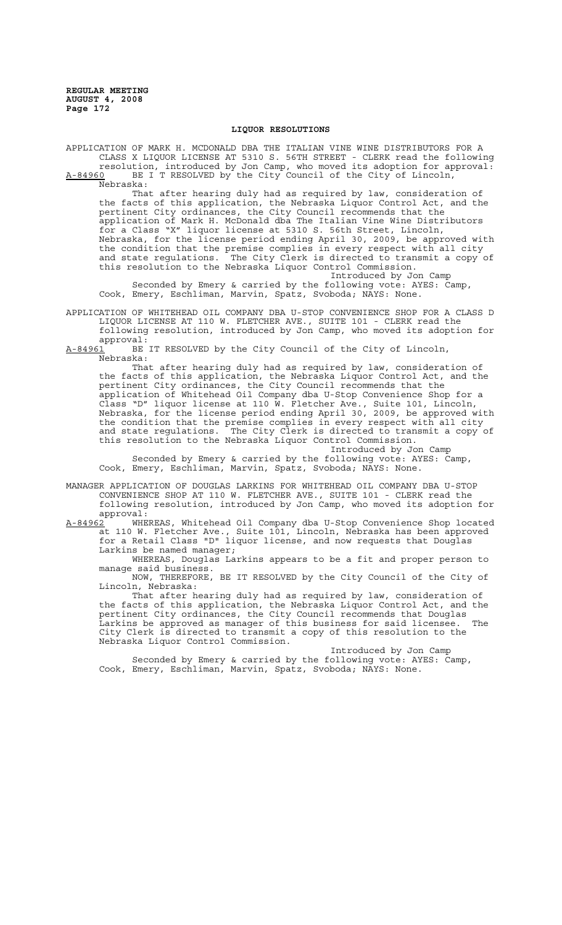### **LIQUOR RESOLUTIONS**

APPLICATION OF MARK H. MCDONALD DBA THE ITALIAN VINE WINE DISTRIBUTORS FOR A CLASS X LIQUOR LICENSE AT 5310 S. 56TH STREET - CLERK read the following resolution, introduced by Jon Camp, who moved its adoption for approval: A-84960 BE I T RESOLVED by the City Council of the City of Lincoln,

Nebraska: That after hearing duly had as required by law, consideration of the facts of this application, the Nebraska Liquor Control Act, and the pertinent City ordinances, the City Council recommends that the application of Mark H. McDonald dba The Italian Vine Wine Distributors for a Class "X" liquor license at 5310 S. 56th Street, Lincoln, Nebraska, for the license period ending April 30, 2009, be approved with the condition that the premise complies in every respect with all city and state regulations. The City Clerk is directed to transmit a copy of this resolution to the Nebraska Liquor Control Commission.

Introduced by Jon Camp Seconded by Emery & carried by the following vote: AYES: Camp, Cook, Emery, Eschliman, Marvin, Spatz, Svoboda; NAYS: None.

APPLICATION OF WHITEHEAD OIL COMPANY DBA U-STOP CONVENIENCE SHOP FOR A CLASS D LIQUOR LICENSE AT 110 W. FLETCHER AVE., SUITE 101 - CLERK read the following resolution, introduced by Jon Camp, who moved its adoption for approval:<br>A-84961 BE

BE IT RESOLVED by the City Council of the City of Lincoln, Nebraska:

That after hearing duly had as required by law, consideration of the facts of this application, the Nebraska Liquor Control Act, and the pertinent City ordinances, the City Council recommends that the application of Whitehead Oil Company dba U-Stop Convenience Shop for a Class "D" liquor license at 110 W. Fletcher Ave., Suite 101, Lincoln, Nebraska, for the license period ending April 30, 2009, be approved with the condition that the premise complies in every respect with all city and state regulations. The City Clerk is directed to transmit a copy of this resolution to the Nebraska Liquor Control Commission.

Introduced by Jon Camp Seconded by Emery & carried by the following vote: AYES: Camp, Cook, Emery, Eschliman, Marvin, Spatz, Svoboda; NAYS: None.

MANAGER APPLICATION OF DOUGLAS LARKINS FOR WHITEHEAD OIL COMPANY DBA U-STOP CONVENIENCE SHOP AT 110 W. FLETCHER AVE., SUITE 101 - CLERK read the following resolution, introduced by Jon Camp, who moved its adoption for approval:

A-84962<sup>-</sup> WHEREAS, Whitehead Oil Company dba U-Stop Convenience Shop located at 110 W. Fletcher Ave., Suite 101, Lincoln, Nebraska has been approved for a Retail Class "D" liquor license, and now requests that Douglas Larkins be named manager;

WHEREAS, Douglas Larkins appears to be a fit and proper person to manage said business.

NOW, THEREFORE, BE IT RESOLVED by the City Council of the City of Lincoln, Nebraska:

That after hearing duly had as required by law, consideration of the facts of this application, the Nebraska Liquor Control Act, and the pertinent City ordinances, the City Council recommends that Douglas Larkins be approved as manager of this business for said licensee. The City Clerk is directed to transmit a copy of this resolution to the Nebraska Liquor Control Commission.

Introduced by Jon Camp Seconded by Emery & carried by the following vote: AYES: Camp, Cook, Emery, Eschliman, Marvin, Spatz, Svoboda; NAYS: None.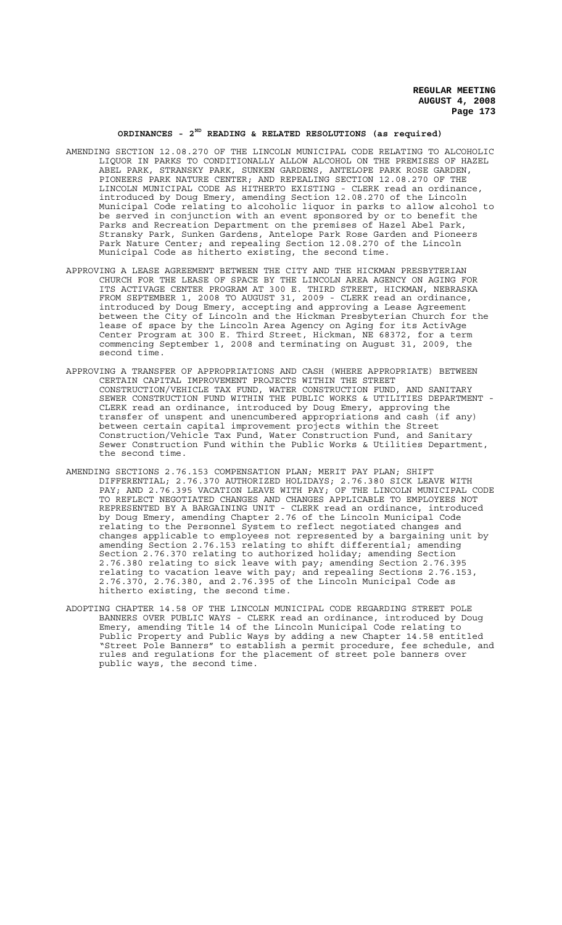### **ORDINANCES - 2ND READING & RELATED RESOLUTIONS (as required)**

- AMENDING SECTION 12.08.270 OF THE LINCOLN MUNICIPAL CODE RELATING TO ALCOHOLIC LIQUOR IN PARKS TO CONDITIONALLY ALLOW ALCOHOL ON THE PREMISES OF HAZEL ABEL PARK, STRANSKY PARK, SUNKEN GARDENS, ANTELOPE PARK ROSE GARDEN, PIONEERS PARK NATURE CENTER; AND REPEALING SECTION 12.08.270 OF THE LINCOLN MUNICIPAL CODE AS HITHERTO EXISTING - CLERK read an ordinance, introduced by Doug Emery, amending Section 12.08.270 of the Lincoln Municipal Code relating to alcoholic liquor in parks to allow alcohol to be served in conjunction with an event sponsored by or to benefit the Parks and Recreation Department on the premises of Hazel Abel Park, Stransky Park, Sunken Gardens, Antelope Park Rose Garden and Pioneers Park Nature Center; and repealing Section 12.08.270 of the Lincoln Municipal Code as hitherto existing, the second time.
- APPROVING A LEASE AGREEMENT BETWEEN THE CITY AND THE HICKMAN PRESBYTERIAN CHURCH FOR THE LEASE OF SPACE BY THE LINCOLN AREA AGENCY ON AGING FOR ITS ACTIVAGE CENTER PROGRAM AT 300 E. THIRD STREET, HICKMAN, NEBRASKA FROM SEPTEMBER 1, 2008 TO AUGUST 31, 2009 - CLERK read an ordinance, introduced by Doug Emery, accepting and approving a Lease Agreement between the City of Lincoln and the Hickman Presbyterian Church for the lease of space by the Lincoln Area Agency on Aging for its ActivAge Center Program at 300 E. Third Street, Hickman, NE 68372, for a term commencing September 1, 2008 and terminating on August 31, 2009, the second time.
- APPROVING A TRANSFER OF APPROPRIATIONS AND CASH (WHERE APPROPRIATE) BETWEEN CERTAIN CAPITAL IMPROVEMENT PROJECTS WITHIN THE STREET CONSTRUCTION/VEHICLE TAX FUND, WATER CONSTRUCTION FUND, AND SANITARY SEWER CONSTRUCTION FUND WITHIN THE PUBLIC WORKS & UTILITIES DEPARTMENT - CLERK read an ordinance, introduced by Doug Emery, approving the transfer of unspent and unencumbered appropriations and cash (if any) between certain capital improvement projects within the Street Construction/Vehicle Tax Fund, Water Construction Fund, and Sanitary Sewer Construction Fund within the Public Works & Utilities Department, the second time.
- AMENDING SECTIONS 2.76.153 COMPENSATION PLAN; MERIT PAY PLAN; SHIFT DIFFERENTIAL; 2.76.370 AUTHORIZED HOLIDAYS; 2.76.380 SICK LEAVE WITH PAY; AND 2.76.395 VACATION LEAVE WITH PAY; OF THE LINCOLN MUNICIPAL CODE TO REFLECT NEGOTIATED CHANGES AND CHANGES APPLICABLE TO EMPLOYEES NOT REPRESENTED BY A BARGAINING UNIT - CLERK read an ordinance, introduced by Doug Emery, amending Chapter 2.76 of the Lincoln Municipal Code relating to the Personnel System to reflect negotiated changes and changes applicable to employees not represented by a bargaining unit by amending Section 2.76.153 relating to shift differential; amending Section 2.76.370 relating to authorized holiday; amending Section 2.76.380 relating to sick leave with pay; amending Section 2.76.395 relating to vacation leave with pay; and repealing Sections 2.76.153, 2.76.370, 2.76.380, and 2.76.395 of the Lincoln Municipal Code as hitherto existing, the second time.
- ADOPTING CHAPTER 14.58 OF THE LINCOLN MUNICIPAL CODE REGARDING STREET POLE BANNERS OVER PUBLIC WAYS - CLERK read an ordinance, introduced by Doug Emery, amending Title 14 of the Lincoln Municipal Code relating to Public Property and Public Ways by adding a new Chapter 14.58 entitled "Street Pole Banners" to establish a permit procedure, fee schedule, and rules and regulations for the placement of street pole banners over public ways, the second time.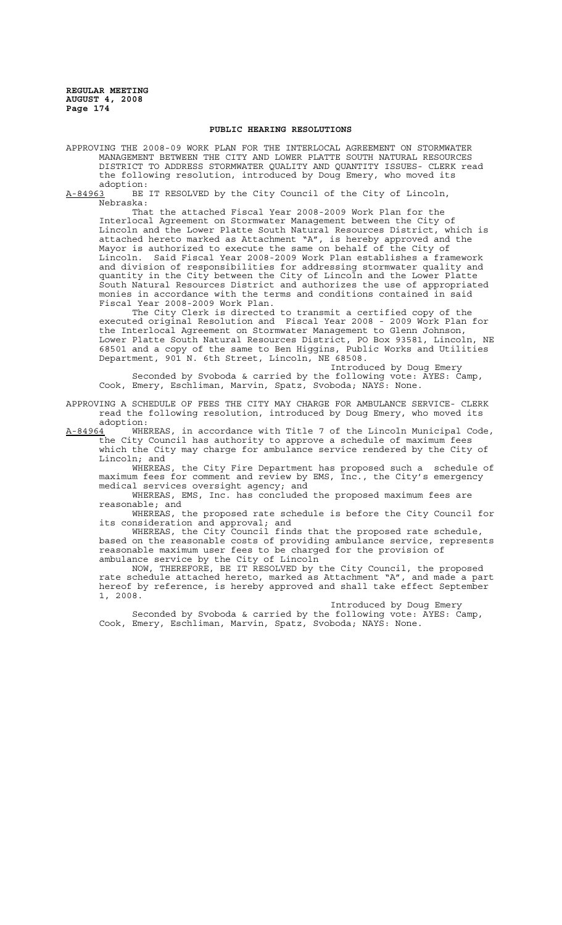### **PUBLIC HEARING RESOLUTIONS**

APPROVING THE 2008-09 WORK PLAN FOR THE INTERLOCAL AGREEMENT ON STORMWATER MANAGEMENT BETWEEN THE CITY AND LOWER PLATTE SOUTH NATURAL RESOURCES DISTRICT TO ADDRESS STORMWATER QUALITY AND QUANTITY ISSUES- CLERK read the following resolution, introduced by Doug Emery, who moved its

adoption:<br>A-84963 BE BE IT RESOLVED by the City Council of the City of Lincoln, Nebraska:

That the attached Fiscal Year 2008-2009 Work Plan for the Interlocal Agreement on Stormwater Management between the City of Lincoln and the Lower Platte South Natural Resources District, which is attached hereto marked as Attachment "A", is hereby approved and the Mayor is authorized to execute the same on behalf of the City of Lincoln. Said Fiscal Year 2008-2009 Work Plan establishes a framework and division of responsibilities for addressing stormwater quality and quantity in the City between the City of Lincoln and the Lower Platte South Natural Resources District and authorizes the use of appropriated monies in accordance with the terms and conditions contained in said Fiscal Year 2008-2009 Work Plan.

The City Clerk is directed to transmit a certified copy of the executed original Resolution and Fiscal Year 2008 - 2009 Work Plan for the Interlocal Agreement on Stormwater Management to Glenn Johnson, Lower Platte South Natural Resources District, PO Box 93581, Lincoln, NE 68501 and a copy of the same to Ben Higgins, Public Works and Utilities Department, 901 N. 6th Street, Lincoln, NE 68508.

Introduced by Doug Emery Seconded by Svoboda & carried by the following vote: AYES: Camp, Cook, Emery, Eschliman, Marvin, Spatz, Svoboda; NAYS: None.

APPROVING A SCHEDULE OF FEES THE CITY MAY CHARGE FOR AMBULANCE SERVICE- CLERK read the following resolution, introduced by Doug Emery, who moved its adoption:<br><u>A-84964</u> WHEREAS,

in accordance with Title 7 of the Lincoln Municipal Code, the City Council has authority to approve a schedule of maximum fees which the City may charge for ambulance service rendered by the City of Lincoln; and<br>WHEREAS,

the City Fire Department has proposed such a schedule of maximum fees for comment and review by EMS, Inc., the City's emergency medical services oversight agency; and

WHEREAS, EMS, Inc. has concluded the proposed maximum fees are reasonable; and

WHEREAS, the proposed rate schedule is before the City Council for its consideration and approval; and

WHEREAS, the City Council finds that the proposed rate schedule, based on the reasonable costs of providing ambulance service, represents reasonable maximum user fees to be charged for the provision of ambulance service by the City of Lincoln

NOW, THEREFORE, BE IT RESOLVED by the City Council, the proposed rate schedule attached hereto, marked as Attachment "A", and made a part hereof by reference, is hereby approved and shall take effect September 1, 2008.

Introduced by Doug Emery

Seconded by Svoboda & carried by the following vote: AYES: Camp, Cook, Emery, Eschliman, Marvin, Spatz, Svoboda; NAYS: None.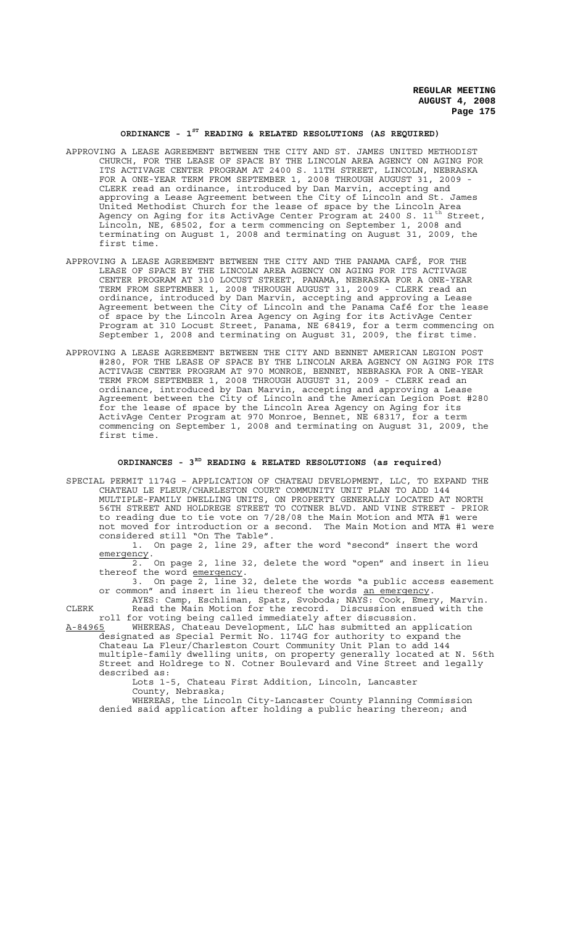## **ORDINANCE - 1ST READING & RELATED RESOLUTIONS (AS REQUIRED)**

- APPROVING A LEASE AGREEMENT BETWEEN THE CITY AND ST. JAMES UNITED METHODIST CHURCH, FOR THE LEASE OF SPACE BY THE LINCOLN AREA AGENCY ON AGING FOR ITS ACTIVAGE CENTER PROGRAM AT 2400 S. 11TH STREET, LINCOLN, NEBRASKA FOR A ONE-YEAR TERM FROM SEPTEMBER 1, 2008 THROUGH AUGUST 31, 2009 - CLERK read an ordinance, introduced by Dan Marvin, accepting and approving a Lease Agreement between the City of Lincoln and St. James United Methodist Church for the lease of space by the Lincoln Area Agency on Aging for its ActivAge Center Program at 2400 S. 11<sup>th</sup> Street, Lincoln, NE, 68502, for a term commencing on September 1, 2008 and terminating on August 1, 2008 and terminating on August 31, 2009, the first time.
- APPROVING A LEASE AGREEMENT BETWEEN THE CITY AND THE PANAMA CAFÉ, FOR THE LEASE OF SPACE BY THE LINCOLN AREA AGENCY ON AGING FOR ITS ACTIVAGE CENTER PROGRAM AT 310 LOCUST STREET, PANAMA, NEBRASKA FOR A ONE-YEAR TERM FROM SEPTEMBER 1, 2008 THROUGH AUGUST 31, 2009 - CLERK read an ordinance, introduced by Dan Marvin, accepting and approving a Lease Agreement between the City of Lincoln and the Panama Café for the lease of space by the Lincoln Area Agency on Aging for its ActivAge Center Program at 310 Locust Street, Panama, NE 68419, for a term commencing on September 1, 2008 and terminating on August 31, 2009, the first time.
- APPROVING A LEASE AGREEMENT BETWEEN THE CITY AND BENNET AMERICAN LEGION POST #280, FOR THE LEASE OF SPACE BY THE LINCOLN AREA AGENCY ON AGING FOR ITS ACTIVAGE CENTER PROGRAM AT 970 MONROE, BENNET, NEBRASKA FOR A ONE-YEAR TERM FROM SEPTEMBER 1, 2008 THROUGH AUGUST 31, 2009 - CLERK read an ordinance, introduced by Dan Marvin, accepting and approving a Lease Agreement between the City of Lincoln and the American Legion Post #280 for the lease of space by the Lincoln Area Agency on Aging for its ActivAge Center Program at 970 Monroe, Bennet, NE 68317, for a term commencing on September 1, 2008 and terminating on August 31, 2009, the first time.

# **ORDINANCES - 3RD READING & RELATED RESOLUTIONS (as required)**

SPECIAL PERMIT 1174G – APPLICATION OF CHATEAU DEVELOPMENT, LLC, TO EXPAND THE CHATEAU LE FLEUR/CHARLESTON COURT COMMUNITY UNIT PLAN TO ADD 144 MULTIPLE-FAMILY DWELLING UNITS, ON PROPERTY GENERALLY LOCATED AT NORTH 56TH STREET AND HOLDREGE STREET TO COTNER BLVD. AND VINE STREET - PRIOR to reading due to tie vote on 7/28/08 the Main Motion and MTA #1 were not moved for introduction or a second. The Main Motion and MTA #1 were considered still "On The Table".

1. On page 2, line 29, after the word "second" insert the word emergency.

 $\overline{2.}$  On page 2, line 32, delete the word "open" and insert in lieu thereof the word <u>emergency</u>.<br>3. On page 2, line 32, delete the words "a public access easement

or common" and insert in lieu thereof the words an emergency.

AYES: Camp, Eschliman, Spatz, Svoboda; NAYS: Cook, Emery, Marvin. CLERK Read the Main Motion for the record. Discussion ensued with the roll for voting being called immediately after discussion.

A-84965 WHEREAS, Chateau Development, LLC has submitted an application designated as Special Permit No. 1174G for authority to expand the Chateau La Fleur/Charleston Court Community Unit Plan to add 144 multiple-family dwelling units, on property generally located at N. 56th Street and Holdrege to N. Cotner Boulevard and Vine Street and legally described as:

Lots 1-5, Chateau First Addition, Lincoln, Lancaster County, Nebraska;

WHEREAS, the Lincoln City-Lancaster County Planning Commission denied said application after holding a public hearing thereon; and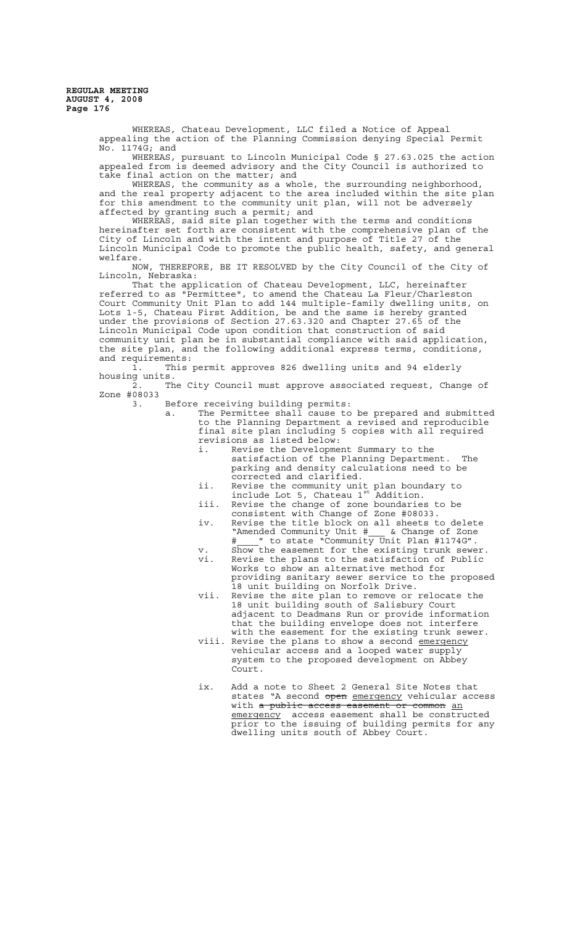> WHEREAS, Chateau Development, LLC filed a Notice of Appeal appealing the action of the Planning Commission denying Special Permit No. 1174G; and

WHEREAS, pursuant to Lincoln Municipal Code § 27.63.025 the action appealed from is deemed advisory and the City Council is authorized to take final action on the matter; and

WHEREAS, the community as a whole, the surrounding neighborhood, and the real property adjacent to the area included within the site plan for this amendment to the community unit plan, will not be adversely affected by granting such a permit; and

WHEREAS, said site plan together with the terms and conditions hereinafter set forth are consistent with the comprehensive plan of the City of Lincoln and with the intent and purpose of Title 27 of the Lincoln Municipal Code to promote the public health, safety, and general welfare.

NOW, THEREFORE, BE IT RESOLVED by the City Council of the City of Lincoln, Nebraska:

That the application of Chateau Development, LLC, hereinafter referred to as "Permittee", to amend the Chateau La Fleur/Charleston Court Community Unit Plan to add 144 multiple-family dwelling units, on Lots 1-5, Chateau First Addition, be and the same is hereby granted under the provisions of Section 27.63.320 and Chapter 27.65 of the Lincoln Municipal Code upon condition that construction of said community unit plan be in substantial compliance with said application, the site plan, and the following additional express terms, conditions, and requirements:

1. This permit approves 826 dwelling units and 94 elderly housing units.

The City Council must approve associated request, Change of Zone #08033

3. Before receiving building permits:

a. The Permittee shall cause to be prepared and submitted to the Planning Department a revised and reproducible final site plan including 5 copies with all required revisions as listed below:

- i. Revise the Development Summary to the satisfaction of the Planning Department. The parking and density calculations need to be corrected and clarified.
- ii. Revise the community unit plan boundary to include Lot 5, Chateau 1<sup>st</sup> Addition.
- iii. Revise the change of zone boundaries to be consistent with Change of Zone #08033.
- iv. Revise the title block on all sheets to delete "Amended Community Unit #\_\_\_ & Change of Zone #  $\;$  " to state "Community Unit Plan #1174G".
- v. Show the easement for the existing trunk sewer. vi. Revise the plans to the satisfaction of Public Works to show an alternative method for providing sanitary sewer service to the proposed 18 unit building on Norfolk Drive.
- vii. Revise the site plan to remove or relocate the 18 unit building south of Salisbury Court adjacent to Deadmans Run or provide information that the building envelope does not interfere with the easement for the existing trunk sewer.
- viii. Revise the plans to show a second emergency vehicular access and a looped water supply system to the proposed development on Abbey Court.
- ix. Add a note to Sheet 2 General Site Notes that states "A second open emergency vehicular access with a public access easement or common an emergency access easement shall be constructed prior to the issuing of building permits for any dwelling units south of Abbey Court.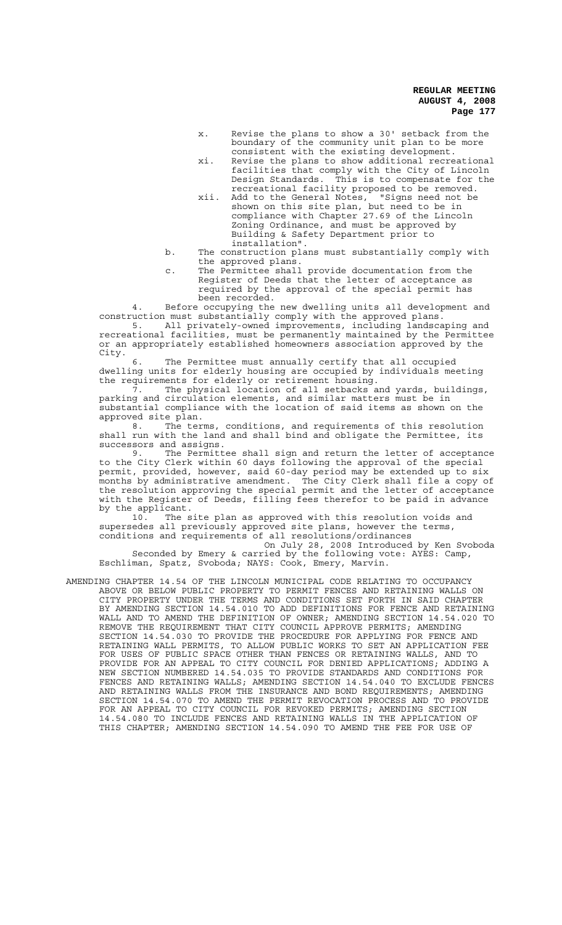- x. Revise the plans to show a 30' setback from the boundary of the community unit plan to be more consistent with the existing development.
- xi. Revise the plans to show additional recreational facilities that comply with the City of Lincoln Design Standards. This is to compensate for the recreational facility proposed to be removed.
- xii. Add to the General Notes, "Signs need not be shown on this site plan, but need to be in compliance with Chapter 27.69 of the Lincoln Zoning Ordinance, and must be approved by Building & Safety Department prior to installation".
- b. The construction plans must substantially comply with the approved plans.
- c. The Permittee shall provide documentation from the Register of Deeds that the letter of acceptance as required by the approval of the special permit has been recorded.

4. Before occupying the new dwelling units all development and construction must substantially comply with the approved plans.

5. All privately-owned improvements, including landscaping and recreational facilities, must be permanently maintained by the Permittee or an appropriately established homeowners association approved by the City.

6. The Permittee must annually certify that all occupied dwelling units for elderly housing are occupied by individuals meeting the requirements for elderly or retirement housing.

7. The physical location of all setbacks and yards, buildings, parking and circulation elements, and similar matters must be in substantial compliance with the location of said items as shown on the approved site plan.

8. The terms, conditions, and requirements of this resolution shall run with the land and shall bind and obligate the Permittee, its successors and assigns.

9. The Permittee shall sign and return the letter of acceptance to the City Clerk within 60 days following the approval of the special permit, provided, however, said 60-day period may be extended up to six months by administrative amendment. The City Clerk shall file a copy of the resolution approving the special permit and the letter of acceptance with the Register of Deeds, filling fees therefor to be paid in advance by the applicant.<br>10. The s

The site plan as approved with this resolution voids and supersedes all previously approved site plans, however the terms, conditions and requirements of all resolutions/ordinances

On July 28, 2008 Introduced by Ken Svoboda Seconded by Emery & carried by the following vote: AYES: Camp, Eschliman, Spatz, Svoboda; NAYS: Cook, Emery, Marvin.

AMENDING CHAPTER 14.54 OF THE LINCOLN MUNICIPAL CODE RELATING TO OCCUPANCY ABOVE OR BELOW PUBLIC PROPERTY TO PERMIT FENCES AND RETAINING WALLS ON CITY PROPERTY UNDER THE TERMS AND CONDITIONS SET FORTH IN SAID CHAPTER BY AMENDING SECTION 14.54.010 TO ADD DEFINITIONS FOR FENCE AND RETAINING WALL AND TO AMEND THE DEFINITION OF OWNER; AMENDING SECTION 14.54.020 TO REMOVE THE REQUIREMENT THAT CITY COUNCIL APPROVE PERMITS; AMENDING SECTION 14.54.030 TO PROVIDE THE PROCEDURE FOR APPLYING FOR FENCE AND RETAINING WALL PERMITS, TO ALLOW PUBLIC WORKS TO SET AN APPLICATION FEE FOR USES OF PUBLIC SPACE OTHER THAN FENCES OR RETAINING WALLS, AND TO PROVIDE FOR AN APPEAL TO CITY COUNCIL FOR DENIED APPLICATIONS; ADDING A NEW SECTION NUMBERED 14.54.035 TO PROVIDE STANDARDS AND CONDITIONS FOR FENCES AND RETAINING WALLS; AMENDING SECTION 14.54.040 TO EXCLUDE FENCES AND RETAINING WALLS FROM THE INSURANCE AND BOND REQUIREMENTS; AMENDING SECTION 14.54.070 TO AMEND THE PERMIT REVOCATION PROCESS AND TO PROVIDE FOR AN APPEAL TO CITY COUNCIL FOR REVOKED PERMITS; AMENDING SECTION 14.54.080 TO INCLUDE FENCES AND RETAINING WALLS IN THE APPLICATION OF THIS CHAPTER; AMENDING SECTION 14.54.090 TO AMEND THE FEE FOR USE OF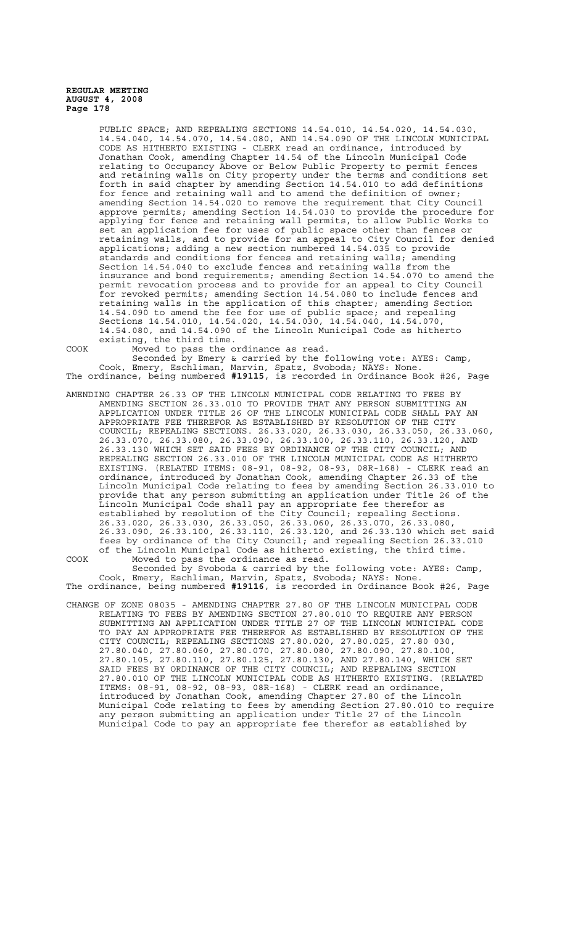> PUBLIC SPACE; AND REPEALING SECTIONS 14.54.010, 14.54.020, 14.54.030, 14.54.040, 14.54.070, 14.54.080, AND 14.54.090 OF THE LINCOLN MUNICIPAL CODE AS HITHERTO EXISTING - CLERK read an ordinance, introduced by Jonathan Cook, amending Chapter 14.54 of the Lincoln Municipal Code relating to Occupancy Above or Below Public Property to permit fences<br>and retaining walls on City property under the terms and conditions set and retaining walls on City property under the terms and forth in said chapter by amending Section 14.54.010 to add definitions for fence and retaining wall and to amend the definition of owner; amending Section 14.54.020 to remove the requirement that City Council approve permits; amending Section 14.54.030 to provide the procedure for applying for fence and retaining wall permits, to allow Public Works to set an application fee for uses of public space other than fences or retaining walls, and to provide for an appeal to City Council for denied applications; adding a new section numbered 14.54.035 to provide standards and conditions for fences and retaining walls; amending Section 14.54.040 to exclude fences and retaining walls from the insurance and bond requirements; amending Section 14.54.070 to amend the permit revocation process and to provide for an appeal to City Council for revoked permits; amending Section 14.54.080 to include fences and retaining walls in the application of this chapter; amending Section 14.54.090 to amend the fee for use of public space; and repealing Sections 14.54.010, 14.54.020, 14.54.030, 14.54.040, 14.54.070, 14.54.080, and 14.54.090 of the Lincoln Municipal Code as hitherto existing, the third time.

COOK Moved to pass the ordinance as read. Seconded by Emery & carried by the following vote: AYES: Camp, Cook, Emery, Eschliman, Marvin, Spatz, Svoboda; NAYS: None. The ordinance, being numbered **#19115**, is recorded in Ordinance Book #26, Page

AMENDING CHAPTER 26.33 OF THE LINCOLN MUNICIPAL CODE RELATING TO FEES BY AMENDING SECTION 26.33.010 TO PROVIDE THAT ANY PERSON SUBMITTING AN APPLICATION UNDER TITLE 26 OF THE LINCOLN MUNICIPAL CODE SHALL PAY AN APPROPRIATE FEE THEREFOR AS ESTABLISHED BY RESOLUTION OF THE CITY COUNCIL; REPEALING SECTIONS. 26.33.020, 26.33.030, 26.33.050, 26.33.060, 26.33.070, 26.33.080, 26.33.090, 26.33.100, 26.33.110, 26.33.120, AND 26.33.130 WHICH SET SAID FEES BY ORDINANCE OF THE CITY COUNCIL; AND REPEALING SECTION 26.33.010 OF THE LINCOLN MUNICIPAL CODE AS HITHERTO EXISTING. (RELATED ITEMS: 08-91, 08-92, 08-93, 08R-168) - CLERK read an ordinance, introduced by Jonathan Cook, amending Chapter 26.33 of the Lincoln Municipal Code relating to fees by amending Section 26.33.010 to provide that any person submitting an application under Title 26 of the Lincoln Municipal Code shall pay an appropriate fee therefor as established by resolution of the City Council; repealing Sections. 26.33.020, 26.33.030, 26.33.050, 26.33.060, 26.33.070, 26.33.080, 26.33.090, 26.33.100, 26.33.110, 26.33.120, and 26.33.130 which set said fees by ordinance of the City Council; and repealing Section 26.33.010 of the Lincoln Municipal Code as hitherto existing, the third time. COOK Moved to pass the ordinance as read.

Seconded by Svoboda & carried by the following vote: AYES: Camp, Cook, Emery, Eschliman, Marvin, Spatz, Svoboda; NAYS: None. The ordinance, being numbered **#19116**, is recorded in Ordinance Book #26, Page

CHANGE OF ZONE 08035 - AMENDING CHAPTER 27.80 OF THE LINCOLN MUNICIPAL CODE RELATING TO FEES BY AMENDING SECTION 27.80.010 TO REQUIRE ANY PERSON SUBMITTING AN APPLICATION UNDER TITLE 27 OF THE LINCOLN MUNICIPAL CODE TO PAY AN APPROPRIATE FEE THEREFOR AS ESTABLISHED BY RESOLUTION OF THE CITY COUNCIL; REPEALING SECTIONS 27.80.020, 27.80.025, 27.80 030, 27.80.040, 27.80.060, 27.80.070, 27.80.080, 27.80.090, 27.80.100, 27.80.105, 27.80.110, 27.80.125, 27.80.130, AND 27.80.140, WHICH SET SAID FEES BY ORDINANCE OF THE CITY COUNCIL; AND REPEALING SECTION 27.80.010 OF THE LINCOLN MUNICIPAL CODE AS HITHERTO EXISTING. (RELATED ITEMS: 08-91, 08-92, 08-93, 08R-168) - CLERK read an ordinance, introduced by Jonathan Cook, amending Chapter 27.80 of the Lincoln Municipal Code relating to fees by amending Section 27.80.010 to require any person submitting an application under Title 27 of the Lincoln Municipal Code to pay an appropriate fee therefor as established by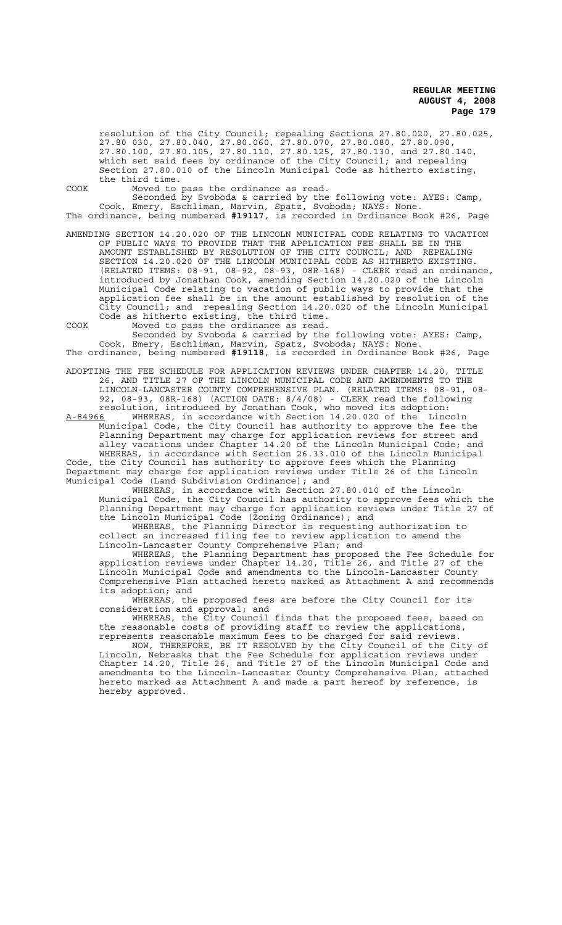resolution of the City Council; repealing Sections 27.80.020, 27.80.025, 27.80 030, 27.80.040, 27.80.060, 27.80.070, 27.80.080, 27.80.090, 27.80.100, 27.80.105, 27.80.110, 27.80.125, 27.80.130, and 27.80.140, which set said fees by ordinance of the City Council; and repealing Section 27.80.010 of the Lincoln Municipal Code as hitherto existing, the third time.

COOK Moved to pass the ordinance as read.

Seconded by Svoboda & carried by the following vote: AYES: Camp, Cook, Emery, Eschliman, Marvin, Spatz, Svoboda; NAYS: None. The ordinance, being numbered **#19117**, is recorded in Ordinance Book #26, Page

AMENDING SECTION 14.20.020 OF THE LINCOLN MUNICIPAL CODE RELATING TO VACATION OF PUBLIC WAYS TO PROVIDE THAT THE APPLICATION FEE SHALL BE IN THE AMOUNT ESTABLISHED BY RESOLUTION OF THE CITY COUNCIL; AND REPEALING SECTION 14.20.020 OF THE LINCOLN MUNICIPAL CODE AS HITHERTO EXISTING. (RELATED ITEMS: 08-91, 08-92, 08-93, 08R-168) - CLERK read an ordinance, introduced by Jonathan Cook, amending Section 14.20.020 of the Lincoln Municipal Code relating to vacation of public ways to provide that the application fee shall be in the amount established by resolution of the City Council; and repealing Section 14.20.020 of the Lincoln Municipal Code as hitherto existing, the third time.

COOK Moved to pass the ordinance as read.

Seconded by Svoboda & carried by the following vote: AYES: Camp, Cook, Emery, Eschliman, Marvin, Spatz, Svoboda; NAYS: None. The ordinance, being numbered **#19118**, is recorded in Ordinance Book #26, Page

ADOPTING THE FEE SCHEDULE FOR APPLICATION REVIEWS UNDER CHAPTER 14.20, TITLE 26, AND TITLE 27 OF THE LINCOLN MUNICIPAL CODE AND AMENDMENTS TO THE LINCOLN-LANCASTER COUNTY COMPREHENSIVE PLAN. (RELATED ITEMS: 08-91, 08- 92, 08-93, 08R-168) (ACTION DATE: 8/4/08) - CLERK read the following resolution, introduced by Jonathan Cook, who moved its adoption:

A-84966 WHEREAS, in accordance with Section 14.20.020 of the Lincoln Municipal Code, the City Council has authority to approve the fee the Planning Department may charge for application reviews for street and alley vacations under Chapter 14.20 of the Lincoln Municipal Code; and WHEREAS, in accordance with Section 26.33.010 of the Lincoln Municipal Code, the City Council has authority to approve fees which the Planning Department may charge for application reviews under Title 26 of the Lincoln Municipal Code (Land Subdivision Ordinance); and

WHEREAS, in accordance with Section 27.80.010 of the Lincoln Municipal Code, the City Council has authority to approve fees which the Planning Department may charge for application reviews under Title 27 of the Lincoln Municipal Code (Zoning Ordinance); and

WHEREAS, the Planning Director is requesting authorization to collect an increased filing fee to review application to amend the Lincoln-Lancaster County Comprehensive Plan; and

WHEREAS, the Planning Department has proposed the Fee Schedule for application reviews under Chapter 14.20, Title 26, and Title 27 of the Lincoln Municipal Code and amendments to the Lincoln-Lancaster County Comprehensive Plan attached hereto marked as Attachment A and recommends its adoption; and

WHEREAS, the proposed fees are before the City Council for its consideration and approval; and

WHEREAS, the City Council finds that the proposed fees, based on the reasonable costs of providing staff to review the applications, represents reasonable maximum fees to be charged for said reviews.

NOW, THEREFORE, BE IT RESOLVED by the City Council of the City of Lincoln, Nebraska that the Fee Schedule for application reviews under Chapter 14.20, Title 26, and Title 27 of the Lincoln Municipal Code and amendments to the Lincoln-Lancaster County Comprehensive Plan, attached hereto marked as Attachment A and made a part hereof by reference, is hereby approved.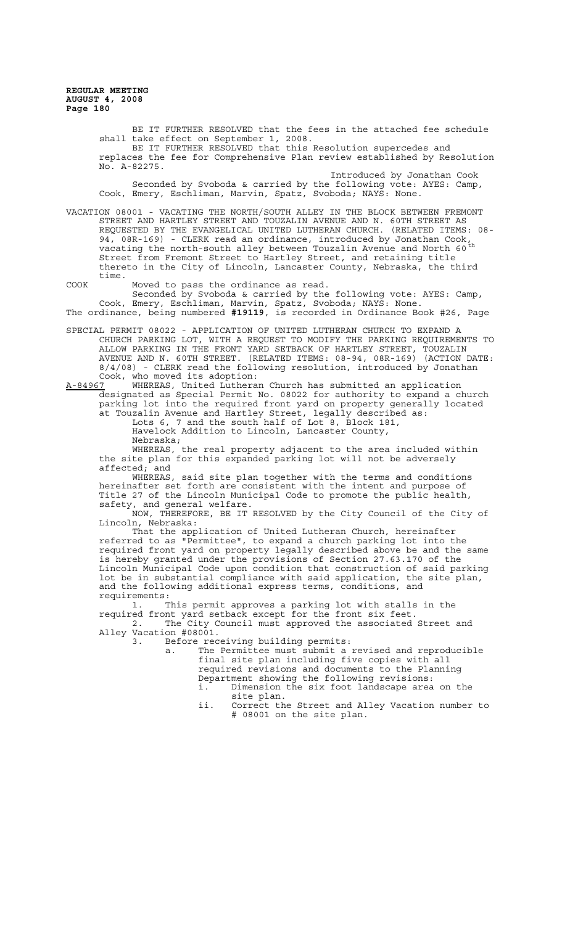> BE IT FURTHER RESOLVED that the fees in the attached fee schedule shall take effect on September 1, 2008. BE IT FURTHER RESOLVED that this Resolution supercedes and replaces the fee for Comprehensive Plan review established by Resolution No. A-82275. Introduced by Jonathan Cook

Seconded by Svoboda & carried by the following vote: AYES: Camp, Cook, Emery, Eschliman, Marvin, Spatz, Svoboda; NAYS: None.

VACATION 08001 - VACATING THE NORTH/SOUTH ALLEY IN THE BLOCK BETWEEN FREMONT STREET AND HARTLEY STREET AND TOUZALIN AVENUE AND N. 60TH STREET AS REQUESTED BY THE EVANGELICAL UNITED LUTHERAN CHURCH. (RELATED ITEMS: 08- 94, 08R-169) - CLERK read an ordinance, introduced by Jonathan Cook, vacating the north-south alley between Touzalin Avenue and North 60 $^{\rm th}$ Street from Fremont Street to Hartley Street, and retaining title thereto in the City of Lincoln, Lancaster County, Nebraska, the third time.

COOK Moved to pass the ordinance as read.

Seconded by Svoboda & carried by the following vote: AYES: Camp, Cook, Emery, Eschliman, Marvin, Spatz, Svoboda; NAYS: None. The ordinance, being numbered **#19119**, is recorded in Ordinance Book #26, Page

SPECIAL PERMIT 08022 - APPLICATION OF UNITED LUTHERAN CHURCH TO EXPAND A CHURCH PARKING LOT, WITH A REQUEST TO MODIFY THE PARKING REQUIREMENTS TO ALLOW PARKING IN THE FRONT YARD SETBACK OF HARTLEY STREET, TOUZALIN AVENUE AND N. 60TH STREET. (RELATED ITEMS: 08-94, 08R-169) (ACTION DATE: 8/4/08) - CLERK read the following resolution, introduced by Jonathan Cook, who moved its adoption:<br>A-84967 WHEREAS, United Luthera

WHEREAS, United Lutheran Church has submitted an application designated as Special Permit No. 08022 for authority to expand a church parking lot into the required front yard on property generally located at Touzalin Avenue and Hartley Street, legally described as:

Lots 6, 7 and the south half of Lot 8, Block 181, Havelock Addition to Lincoln, Lancaster County, Nebraska;

 WHEREAS, the real property adjacent to the area included within the site plan for this expanded parking lot will not be adversely affected; and

WHEREAS, said site plan together with the terms and conditions hereinafter set forth are consistent with the intent and purpose of Title 27 of the Lincoln Municipal Code to promote the public health, safety, and general welfare.

NOW, THEREFORE, BE IT RESOLVED by the City Council of the City of Lincoln, Nebraska:

That the application of United Lutheran Church, hereinafter referred to as "Permittee", to expand a church parking lot into the required front yard on property legally described above be and the same is hereby granted under the provisions of Section 27.63.170 of the Lincoln Municipal Code upon condition that construction of said parking lot be in substantial compliance with said application, the site plan, and the following additional express terms, conditions, and requirements:

1. This permit approves a parking lot with stalls in the required front yard setback except for the front six feet.

2. The City Council must approved the associated Street and Alley Vacation #08001.<br>3. Before rec

Before receiving building permits:

a. The Permittee must submit a revised and reproducible final site plan including five copies with all required revisions and documents to the Planning Department showing the following revisions:

i. Dimension the six foot landscape area on the site plan.

ii. Correct the Street and Alley Vacation number to # 08001 on the site plan.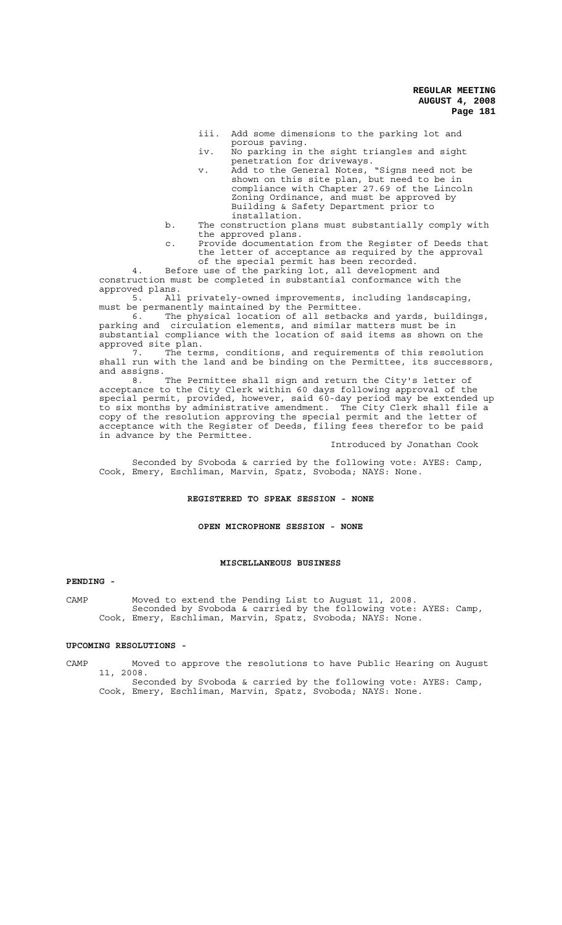- iii. Add some dimensions to the parking lot and porous paving.
- iv. No parking in the sight triangles and sight penetration for driveways.
- v. Add to the General Notes, "Signs need not be shown on this site plan, but need to be in compliance with Chapter 27.69 of the Lincoln Zoning Ordinance, and must be approved by Building & Safety Department prior to installation.
- b. The construction plans must substantially comply with the approved plans.
- c. Provide documentation from the Register of Deeds that the letter of acceptance as required by the approval of the special permit has been recorded.

4. Before use of the parking lot, all development and construction must be completed in substantial conformance with the approved plans.<br>5. All

All privately-owned improvements, including landscaping, must be permanently maintained by the Permittee.<br>6. The physical location of all setback

6. The physical location of all setbacks and yards, buildings, parking and circulation elements, and similar matters must be in substantial compliance with the location of said items as shown on the approved site plan.

7. The terms, conditions, and requirements of this resolution shall run with the land and be binding on the Permittee, its successors, and assigns.

8. The Permittee shall sign and return the City's letter of acceptance to the City Clerk within 60 days following approval of the special permit, provided, however, said 60-day period may be extended up to six months by administrative amendment. The City Clerk shall file a copy of the resolution approving the special permit and the letter of acceptance with the Register of Deeds, filing fees therefor to be paid in advance by the Permittee.

Introduced by Jonathan Cook

Seconded by Svoboda & carried by the following vote: AYES: Camp, Cook, Emery, Eschliman, Marvin, Spatz, Svoboda; NAYS: None.

#### **REGISTERED TO SPEAK SESSION - NONE**

### **OPEN MICROPHONE SESSION - NONE**

### **MISCELLANEOUS BUSINESS**

#### **PENDING -**

CAMP Moved to extend the Pending List to August 11, 2008. Seconded by Svoboda & carried by the following vote: AYES: Camp, Cook, Emery, Eschliman, Marvin, Spatz, Svoboda; NAYS: None.

### **UPCOMING RESOLUTIONS -**

CAMP Moved to approve the resolutions to have Public Hearing on August 11, 2008.

Seconded by Svoboda & carried by the following vote: AYES: Camp, Cook, Emery, Eschliman, Marvin, Spatz, Svoboda; NAYS: None.